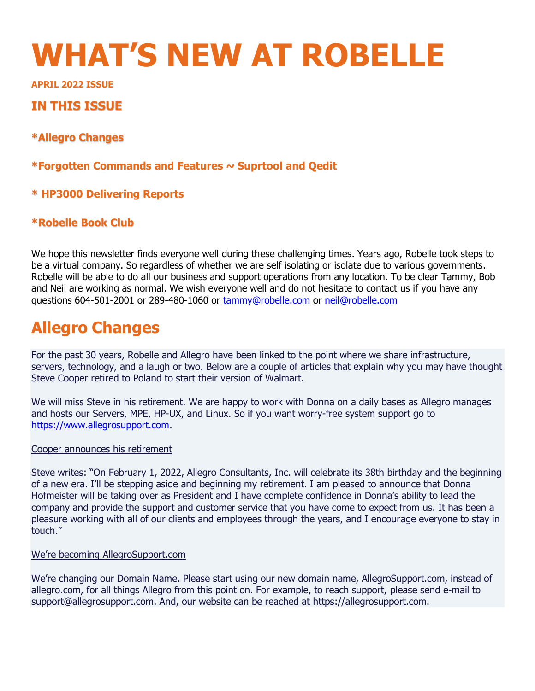# **WHAT'S NEW AT ROBELLE**

**APRIL 2022 ISSUE** 

# **IN THIS ISSUE**

**\*Allegro Changes** 

**\*Forgotten Commands and Features ~ Suprtool and Qedit**

# **\* HP3000 Delivering Reports**

# **\*Robelle Book Club**

We hope this newsletter finds everyone well during these challenging times. Years ago, Robelle took steps to be a virtual company. So regardless of whether we are self isolating or isolate due to various governments. Robelle will be able to do all our business and support operations from any location. To be clear Tammy, Bob and Neil are working as normal. We wish everyone well and do not hesitate to contact us if you have any questions 604-501-2001 or 289-480-1060 or [tammy@robelle.com](mailto:tammy@robelle.com) or [neil@robelle.com](mailto:neil@robelle.com)

# **Allegro Changes**

For the past 30 years, Robelle and Allegro have been linked to the point where we share infrastructure, servers, technology, and a laugh or two. Below are a couple of articles that explain why you may have thought Steve Cooper retired to Poland to start their version of Walmart.

We will miss Steve in his retirement. We are happy to work with Donna on a daily bases as Allegro manages and hosts our Servers, MPE, HP-UX, and Linux. So if you want worry-free system support go to [https://www.allegrosupport.com.](https://www.allegrosupport.com/)

#### Cooper announces his retirement

Steve writes: "On February 1, 2022, Allegro Consultants, Inc. will celebrate its 38th birthday and the beginning of a new era. I'll be stepping aside and beginning my retirement. I am pleased to announce that Donna Hofmeister will be taking over as President and I have complete confidence in Donna's ability to lead the company and provide the support and customer service that you have come to expect from us. It has been a pleasure working with all of our clients and employees through the years, and I encourage everyone to stay in touch."

#### We're becoming AllegroSupport.com

We're changing our Domain Name. Please start using our new domain name, AllegroSupport.com, instead of allegro.com, for all things Allegro from this point on. For example, to reach support, please send e-mail to support@allegrosupport.com. And, our website can be reached at https://allegrosupport.com.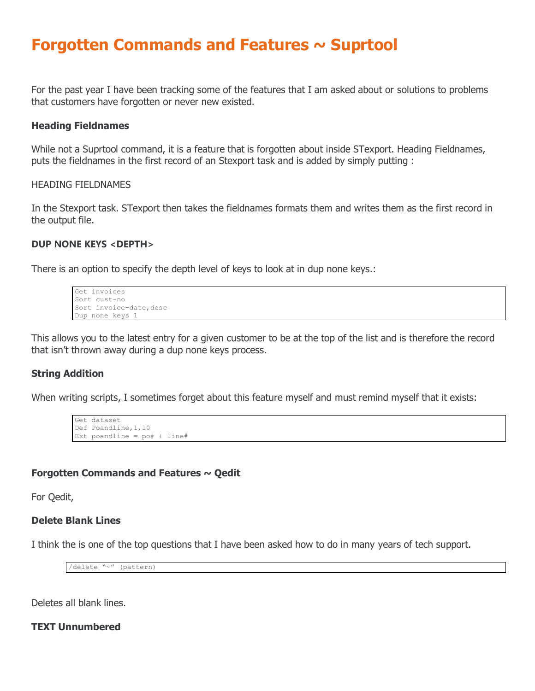# **Forgotten Commands and Features ~ Suprtool**

For the past year I have been tracking some of the features that I am asked about or solutions to problems that customers have forgotten or never new existed.

#### **Heading Fieldnames**

While not a Suprtool command, it is a feature that is forgotten about inside STexport. Heading Fieldnames, puts the fieldnames in the first record of an Stexport task and is added by simply putting :

#### HEADING FIELDNAMES

In the Stexport task. STexport then takes the fieldnames formats them and writes them as the first record in the output file.

#### **DUP NONE KEYS <DEPTH>**

There is an option to specify the depth level of keys to look at in dup none keys.:

```
Get invoices
Sort cust-no
Sort invoice-date, desc
Dup none keys 1
```
This allows you to the latest entry for a given customer to be at the top of the list and is therefore the record that isn't thrown away during a dup none keys process.

#### **String Addition**

When writing scripts, I sometimes forget about this feature myself and must remind myself that it exists:

```
Get dataset
Def Poandline,1,10
Ext poandline = po# + line#
```
# **Forgotten Commands and Features ~ Qedit**

For Qedit,

# **Delete Blank Lines**

I think the is one of the top questions that I have been asked how to do in many years of tech support.

/delete "~" (pattern)

Deletes all blank lines.

**TEXT Unnumbered**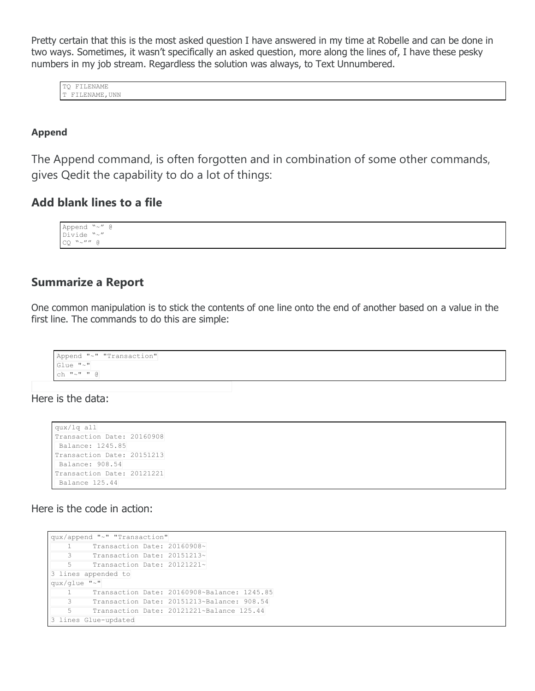Pretty certain that this is the most asked question I have answered in my time at Robelle and can be done in two ways. Sometimes, it wasn't specifically an asked question, more along the lines of, I have these pesky numbers in my job stream. Regardless the solution was always, to Text Unnumbered.

TQ FILENAME T FILENAME, UNN

#### **Append**

The Append command, is often forgotten and in combination of some other commands, gives Qedit the capability to do a lot of things:

# **Add blank lines to a file**

Append "~" @ Divide "~"  $CQ$  "  $\sim$  "" @

# **Summarize a Report**

One common manipulation is to stick the contents of one line onto the end of another based on a value in the first line. The commands to do this are simple:

```
Append "~" "Transaction"
Glue "~"
ch "\sim" " @
```
Here is the data:

```
qux/lq all
Transaction Date: 20160908
Balance: 1245.85
Transaction Date: 20151213
Balance: 908.54
Transaction Date: 20121221
Balance 125.44
```
Here is the code in action:

```
qux/append "~" "Transaction"
    1 Transaction Date: 20160908~
     3 Transaction Date: 20151213~
    5 Transaction Date: 20121221~
3 lines appended to
qux/glue "~"
    1 Transaction Date: 20160908~Balance: 1245.85
    3 Transaction Date: 20151213~Balance: 908.54
    5 Transaction Date: 20121221~Balance 125.44
3 lines Glue-updated
```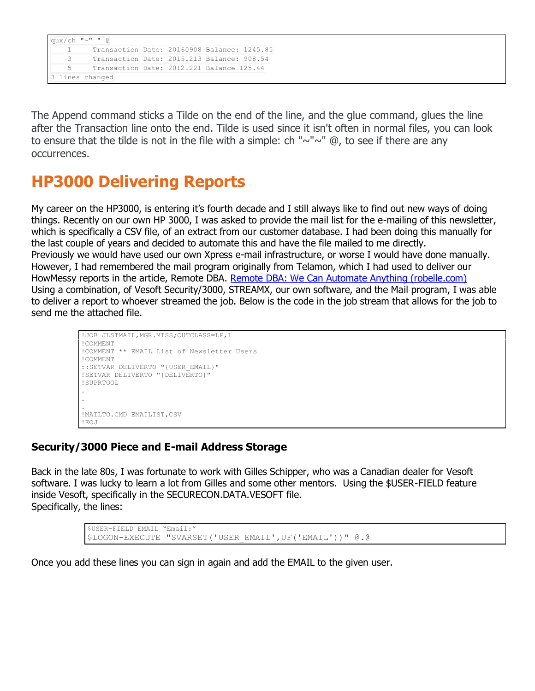```
qux/ch "~" " @
    1 Transaction Date: 20160908 Balance: 1245.85
    3 Transaction Date: 20151213 Balance: 908.54
    5 Transaction Date: 20121221 Balance 125.44
3 lines changed
```
The Append command sticks a Tilde on the end of the line, and the glue command, glues the line after the Transaction line onto the end. Tilde is used since it isn't often in normal files, you can look to ensure that the tilde is not in the file with a simple: ch " $\sim$ " $\sim$ " @, to see if there are any occurrences.

# **HP3000 Delivering Reports**

My career on the HP3000, is entering it's fourth decade and I still always like to find out new ways of doing things. Recently on our own HP 3000, I was asked to provide the mail list for the e-mailing of this newsletter, which is specifically a CSV file, of an extract from our customer database. I had been doing this manually for the last couple of years and decided to automate this and have the file mailed to me directly. Previously we would have used our own Xpress e-mail infrastructure, or worse I would have done manually. However, I had remembered the mail program originally from Telamon, which I had used to deliver our HowMessy reports in the article, Remote DBA. [Remote DBA: We Can Automate Anything \(robelle.com\)](http://www.robelle.com/tips/remote-dba.html) Using a combination, of Vesoft Security/3000, STREAMX, our own software, and the Mail program, I was able to deliver a report to whoever streamed the job. Below is the code in the job stream that allows for the job to send me the attached file.

```
!JOB JLSTMAIL, MGR.MISS; OUTCLASS=LP, 1
!COMMENT
!COMMENT ** EMAIL List of Newsletter Users
!COMMENT
::SETVAR DELIVERTO "{USER_EMAIL}"
!SETVAR DELIVERTO "{DELIVERTO}"
!SUPRTOOL
.
. 
.
!MAILTO.CMD EMAILIST,CSV
!EOJ
```
# **Security/3000 Piece and E-mail Address Storage**

Back in the late 80s, I was fortunate to work with Gilles Schipper, who was a Canadian dealer for Vesoft software. I was lucky to learn a lot from Gilles and some other mentors. Using the \$USER-FIELD feature inside Vesoft, specifically in the SECURECON.DATA.VESOFT file. Specifically, the lines:

> \$USER-FIELD EMAIL "Email:" \$LOGON-EXECUTE "SVARSET('USER\_EMAIL',UF('EMAIL'))" @.@

Once you add these lines you can sign in again and add the EMAIL to the given user.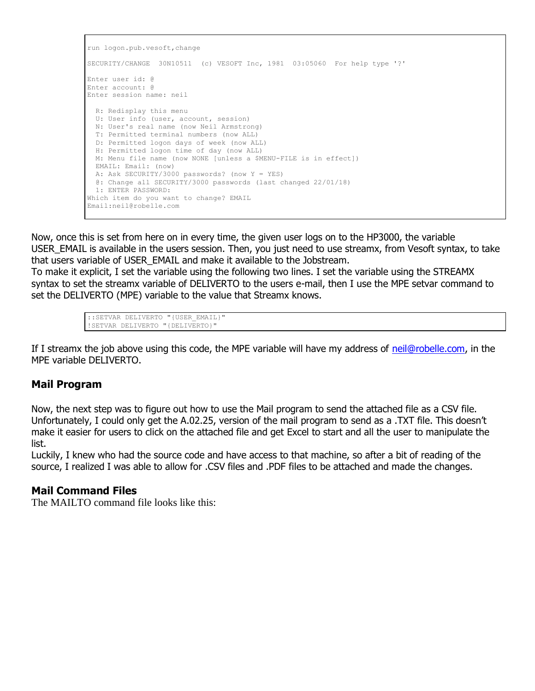```
run logon.pub.vesoft,change
SECURITY/CHANGE 30N10511 (c) VESOFT Inc, 1981 03:05060 For help type '?'
Enter user id: @
Enter account: @
Enter session name: neil
  R: Redisplay this menu
  U: User info (user, account, session)
  N: User's real name (now Neil Armstrong)
  T: Permitted terminal numbers (now ALL)
  D: Permitted logon days of week (now ALL)
  H: Permitted logon time of day (now ALL)
  M: Menu file name (now NONE [unless a $MENU-FILE is in effect])
  EMAIL: Email: (now)
  A: Ask SECURITY/3000 passwords? (now Y = YES)
  @: Change all SECURITY/3000 passwords (last changed 22/01/18)
  1: ENTER PASSWORD: 
Which item do you want to change? EMAIL
Email:neil@robelle.com
```
Now, once this is set from here on in every time, the given user logs on to the HP3000, the variable USER\_EMAIL is available in the users session. Then, you just need to use streamx, from Vesoft syntax, to take that users variable of USER\_EMAIL and make it available to the Jobstream.

To make it explicit, I set the variable using the following two lines. I set the variable using the STREAMX syntax to set the streamx variable of DELIVERTO to the users e-mail, then I use the MPE setvar command to set the DELIVERTO (MPE) variable to the value that Streamx knows.

```
::SETVAR DELIVERTO "{USER_EMAIL}"
!SETVAR DELIVERTO "{DELIVERTO}"
```
If I streamx the job above using this code, the MPE variable will have my address of [neil@robelle.com,](mailto:neil@robelle.com) in the MPE variable DELIVERTO.

# **Mail Program**

Now, the next step was to figure out how to use the Mail program to send the attached file as a CSV file. Unfortunately, I could only get the A.02.25, version of the mail program to send as a .TXT file. This doesn't make it easier for users to click on the attached file and get Excel to start and all the user to manipulate the list.

Luckily, I knew who had the source code and have access to that machine, so after a bit of reading of the source, I realized I was able to allow for .CSV files and .PDF files to be attached and made the changes.

### **Mail Command Files**

The MAILTO command file looks like this: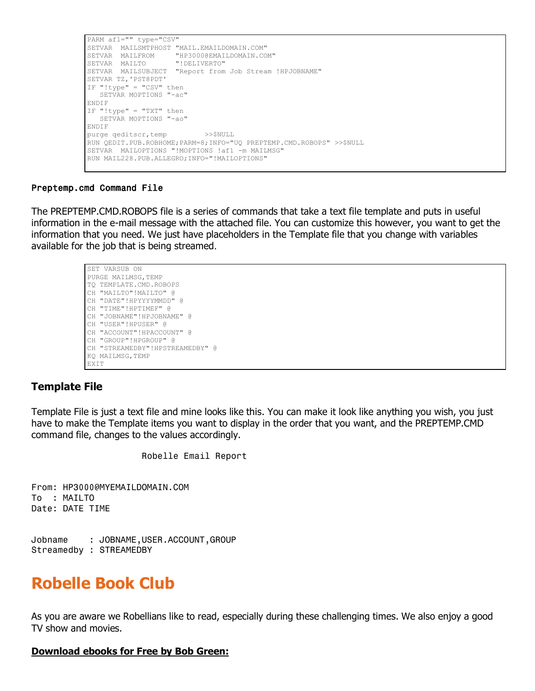```
PARM af1="" type="CSV" 
SETVAR MAILSMTPHOST "MAIL.EMAILDOMAIN.COM"
SETVAR MAILFROM "HP3000@EMAILDOMAIN.COM"
SETVAR MAILTO "!DELIVERTO"
SETVAR MAILSUBJECT "Report from Job Stream !HPJOBNAME"
SETVAR TZ,'PST8PDT'
IF "!type" = "CSV" then
  SETVAR MOPTIONS "-ac"
ENDIF
IF "!type" = "TXT" then
  SETVAR MOPTIONS "-ao"
ENDIF
purge qeditscr, temp >>$NULL
RUN QEDIT.PUB.ROBHOME;PARM=8;INFO="UQ PREPTEMP.CMD.ROBOPS" >>$NULL
SETVAR MAILOPTIONS "!MOPTIONS !af1 -m MAILMSG"
RUN MAIL228.PUB.ALLEGRO;INFO="!MAILOPTIONS"
```
#### Preptemp.cmd Command File

The PREPTEMP.CMD.ROBOPS file is a series of commands that take a text file template and puts in useful information in the e-mail message with the attached file. You can customize this however, you want to get the information that you need. We just have placeholders in the Template file that you change with variables available for the job that is being streamed.

```
SET VARSUB ON 
PURGE MAILMSG, TEMP
TQ TEMPLATE.CMD.ROBOPS
CH "MAILTO"!MAILTO" @
CH "DATE"!HPYYYYMMDD" @
CH "TIME"!HPTIMEF" @
CH "JOBNAME"!HPJOBNAME" @
CH "USER"!HPUSER" @
CH "ACCOUNT"!HPACCOUNT" @
CH "GROUP"!HPGROUP" @
CH "STREAMEDBY"!HPSTREAMEDBY" @
KQ MAILMSG,TEMP
EXIT
```
#### **Template File**

Template File is just a text file and mine looks like this. You can make it look like anything you wish, you just have to make the Template items you want to display in the order that you want, and the PREPTEMP.CMD command file, changes to the values accordingly.

Robelle Email Report

From: HP3000@MYEMAILDOMAIN.COM To : MAILTO Date: DATE TIME

Jobname : JOBNAME,USER.ACCOUNT,GROUP Streamedby : STREAMEDBY

# **Robelle Book Club**

As you are aware we Robellians like to read, especially during these challenging times. We also enjoy a good TV show and movies.

#### **Download ebooks for Free by Bob Green:**